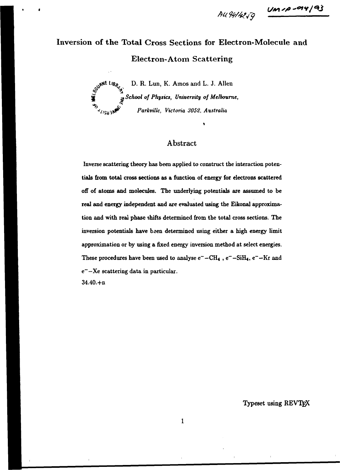$AU41/k2y = \frac{Um \cdot p - qq / q3}{m}$ 

# Inversion of the Total Cross Sections for Electron-Molecule and Electron-Atom Scattering

 $\int_{\mathcal{D}}$  v<sup>RNE *l*</sup> 18 $\rho$ </sup>/<sub>2</sub> D. R. Lun, K. Amos and L. J. Allen **jj( -.** *School of Physics, University of Melbourne,*  **^'Sal\*^** *Parkvillc, Victoria 3052, Australia* 

# Abstract

**Inverse scattering theory has been applied to construct the interaction potentials from total cross sections as a function of energy for electrons scattered off of atoms and molecules. The underlying potentials are assumed to be real and energy independent and are evaluated using the Eikonal approximation and with real phase shifts determined from the total cross sections. The inversion potentials have been determined using either a high energy limit approximation or by using a fixed energy inversion method at select energies.**  These procedures have been used to analyse  $e^-$  -CH<sub>4</sub>,  $e^-$  -SiH<sub>4</sub>,  $e^-$  -Kr and **e~—Xe scattering data in particular. 34.40.+n** 

**Typeset using REVTE X**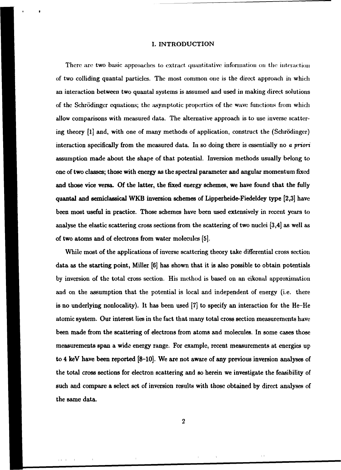#### I. INTRODUCTION

There are two basic approaches to extract quantitative information on the interaction of two colliding quantal particles. The most common one is the direct approach in which an interaction between two quantal systems is assumed and used in making direct solutions of the Schrodingcr equations; the asymptotic properties of the wave functions from which allow comparisons with measured data. The alternative approach is to use inverse scattering theory [l] and, with one of many methods of application, construct the (Schrodinger) interaction specifically from the measured data. In so doing there is essentially no *a priori*  assumption made about the shape of that potential. Inversion methods usually belong to one of two classes; those with energy as the spectral parameter and angular momentum fixed and those vice versa. Of the latter, the fixed energy schemes, we have found that the fully quantal and semiclassical WKB inversion schemes of Lipperheide-Fiedeldey type [2,3] have been most useful in practice. Those schemes have been used extensively in recent years to analyse the elastic scattering cross sections from the scattering of two nuclei [3,4] as well as of two atoms and of electrons from water molecules [5].

While most of the applications of inverse scattering theory take differential cross section data as the starting point, Miller [6] has shown that it is also possible to obtain potentials by inversion of the total cross section. His method is based on an eikonal approximation and on the assumption that the potential is local and independent of energy (i.e. there is no underlying nonlocality). It has been used [7] to specify an interaction for the He-He atomic system. Our interest lies in the fact that many total cross section measurements have been made from the scattering of electrons from atoms and molecules. In some cases those measurements span a wide energy range. For example, recent measurements at energies up to 4 keV have been reported [8-10], We are not aware of any previous inversion analyses of the total cross sections for electron scattering and so herein we investigate the feasibility of such and compare a select set of inversion results with those obtained by direct analyses of the same data.

 $\mathbf{L}$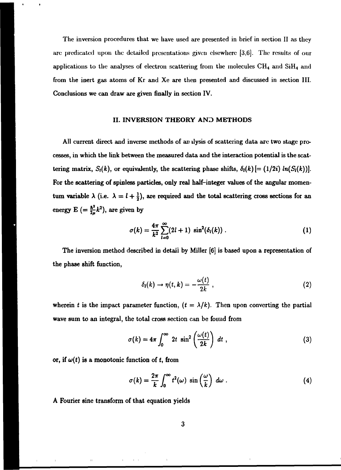The inversion procedures that we have used are presented in brief in section II as they arc predicated upon the detailed presentations given elsewhere [3,6]. The results of our applications to the analyses of electron scattering from the molecules  $\rm CH_4$  and  $\rm SiH_4$  and from the inert gas atoms of Kr and Xe are then presented and discussed in section III. Conclusions we can draw are given finally in section IV.

### II. INVERSION THEORY AND METHODS

All current direct and inverse methods of an ilysis of scattering data are two stage processes, in which the link between the measured data and the interaction potential is the scattering matrix,  $S_i(k)$ , or equivalently, the scattering phase shifts,  $\delta_i(k)$  [= (1/2i)  $ln(S_i(k))$ ]. For the scattering of spinless particles, only real half-integer values of the angular momentum variable  $\lambda$  (i.e.  $\lambda = l + \frac{1}{2}$ ), are required and the total scattering cross sections for an energy  $E = \frac{\hbar^2}{2\mu}k^2$ , are given by

$$
\sigma(k) = \frac{4\pi}{k^2} \sum_{l=0}^{\infty} (2l+1) \sin^2(\delta_l(k)) \ . \tag{1}
$$

The inversion method described in detail by Miller [6] is based upon a representation of the phase shift function,

$$
\delta_l(k) \to \eta(t,k) = -\frac{\omega(t)}{2k} \; , \tag{2}
$$

wherein *t* is the impact parameter function,  $(t = \lambda/k)$ . Then upon converting the partial wave sum to an integral, the total cross section can be found from

$$
\sigma(k) = 4\pi \int_0^\infty 2t \sin^2\left(\frac{\omega(t)}{2k}\right) dt , \qquad (3)
$$

or, if  $\omega(t)$  is a monotonic function of t, from

$$
\sigma(k) = \frac{2\pi}{k} \int_0^\infty t^2(\omega) \sin\left(\frac{\omega}{k}\right) d\omega \ . \tag{4}
$$

A Fourier sine transform of that equation yields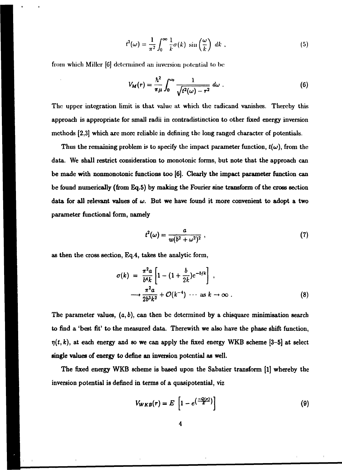$$
t^{2}(\omega) = \frac{1}{\pi^{2}} \int_{0}^{\infty} \frac{1}{k} \sigma(k) \sin\left(\frac{\omega}{k}\right) dk , \qquad (5)
$$

from which Miller [6] determined an inversion potential to be

$$
V_M(r)=\frac{\hbar^2}{\pi\mu}\int_0^{\omega_0}\frac{1}{\sqrt{t^2(\omega)-r^2}}\,d\omega\;.\tag{6}
$$

The upper integration limit is that value at which the radicand vanishes. Thereby this approach is appropriate for small radii in contradistinction to other fixed energy inversion methods [2,3] which are more reliable in defining the long ranged character of potentials.

Thus the remaining problem is to specify the impact parameter function,  $t(\omega)$ , from the data. We shall restrict consideration to monotonic forms, but note that the approach can be made with nonmonotonic functions too [6]. Clearly the impact parameter function can be found numerically (from Eq.5) by making the Fourier sine transform of the cross section data for all relevant values of  $\omega$ . But we have found it more convenient to adopt a two parameter functional form, namely

$$
t^2(\omega) = \frac{a}{w(b^2 + \omega^2)^2} \tag{7}
$$

as then the cross section, Eq.4, takes the analytic form,

$$
\sigma(k) = \frac{\pi^2 a}{b^4 k} \left[ 1 - (1 + \frac{b}{2k}) e^{-b/k} \right],
$$
  

$$
\longrightarrow \frac{\pi^2 a}{2b^3 k^2} + \mathcal{O}(k^{-4}) \cdots \text{ as } k \to \infty.
$$
 (8)

The parameter values,  $(a, b)$ , can then be determined by a chisquare minimisation search to find a 'best fit' to the measured data. Therewith we also have the phase shift function,  $\eta(t, k)$ , at each energy and so we can apply the fixed energy WKB scheme [3-5] at select single values of energy to define an inversion potential as well.

The fixed energy WKB scheme is based upon the Sabatier transform [1] whereby the inversion potential is defined in terms of a quasipotential, viz

$$
V_{WKB}(r) = E\left[1 - e^{\left(\frac{-Q(\sigma)}{E}\right)}\right]
$$
\n(9)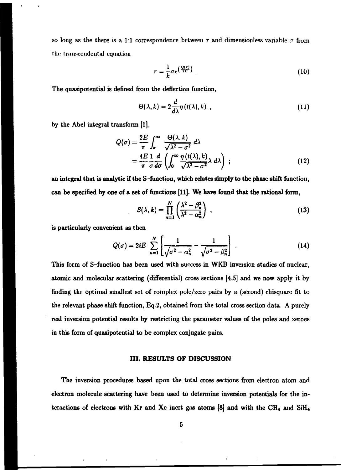so long as the there is a 1:1 correspondence between r and dimensionless variable  $\sigma$  from the transcendental equation

$$
\tau = \frac{1}{k} \sigma e^{\left(\frac{Q(\sigma)}{2E}\right)} \tag{10}
$$

The quasipotential is defined from the deflection function,

$$
\Theta(\lambda,k)=2\frac{d}{d\lambda}\eta\left(t(\lambda),k\right)\,,\tag{11}
$$

by the Abel integral transform [l],

$$
Q(\sigma) = \frac{2E}{\pi} \int_{\sigma}^{\infty} \frac{\Theta(\lambda, k)}{\sqrt{\lambda^2 - \sigma^2}} d\lambda
$$
  
= 
$$
\frac{4E}{\pi} \frac{1}{\sigma} \frac{d}{d\sigma} \left( \int_{0}^{\infty} \frac{\eta(t(\lambda), k)}{\sqrt{\lambda^2 - \sigma^2}} \lambda d\lambda \right) ;
$$
 (12)

an integral that is analytic if the S-function, which relates simply to the phase shift function, can be specified by one of a set of functions [11]. We have found that the rational form,

$$
S(\lambda, k) = \prod_{n=1}^{N} \left( \frac{\lambda^2 - \beta_n^2}{\lambda^2 - \alpha_n^2} \right) , \qquad (13)
$$

is particularly convenient as then

$$
Q(\sigma) = 2iE \sum_{n=1}^{N} \left[ \frac{1}{\sqrt{\sigma^2 - \alpha_n^2}} - \frac{1}{\sqrt{\sigma^2 - \beta_n^2}} \right].
$$
 (14)

This form of S-function has been used with success in WKB inversion studies of nuclear, atomic and molecular scattering (differential) cross sections [4,5] and we now apply it by finding the optimal smallest set of complex pole/zero pairs by a (second) chisquarc fit to the relevant phase shift function, Eq.2, obtained from the total cross section data. A purely real inversion potential results by restricting the parameter values of the poles and zeroes in this form of quasipotential to be complex conjugate pairs.

#### III. RESULTS OF DISCUSSION

The inversion procedures based upon the total cross sections from electron atom and electron molecule scattering have been used to determine inversion potentials for the interactions of electrons with Kr and Xc inert gas atoms  $[8]$  and with the CH<sub>4</sub> and SiH<sub>4</sub>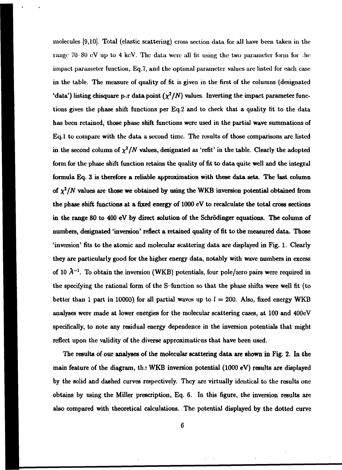molecules [9,10]. Total (elastic scattering) cross section data for all have been taken in the range 70-80 cV up to 4 keV. The data were all fit using the two parameter form for the impact parameter function, Eq.7, and the optimal parameter values are listed for each case in the table. The measure of quality of fit is given in the first of the columns (designated 'data') listing chisquare per data point  $(\chi^2/N)$  values. Inverting the impact parameter functions gives the phase shift functions per Eq.2 and to check that a quality fit to the data has been retained, those phase shift functions were used in the partial wave summations of Eq.l to compare with the data a second time. The results of those comparisons are listed in the second column of  $\chi^2/N$  values, designated as 'refit' in the table. Clearly the adopted form for the phase shift function retains the quality of fit to data quite well and the integral formula Eq. 3 is therefore a reliable approximation with these data sets. The last column of  $\chi^2/N$  values are those we obtained by using the WKB inversion potential obtained from the phase shift functions at a fixed energy of 1000 eV to recalculate the total cross sections in the range 80 to 400 eV by direct solution of the Schrodinger equations. The column of numbers, designated 'inversion' reflect a retained quality of fit to the measured data. Those 'inversion' fits to the atomic and molecular scattering data are displayed in Fig. 1. Clearly they are particularly good for the higher energy data, notably with wave numbers in excess of 10 *A'<sup>1</sup> .* To obtain the inversion (WKB) potentials, four pole/zero pairs were required in the specifying the rational form of the S-function so that the phase shifts were well fit (to better than 1 part in 10000) for all partial waves up to  $l = 200$ . Also, fixed energy WKB analyses were made at lower energies for the molecular scattering cases, at 100 and 400eV specifically, to note any residual energy dependence in the inversion potentials that might reflect upon the validity of the diverse approximations that have been used.

The results of our analyses of the molecular scattering data are shown in Fig. 2. In the main feature of the diagram, th *i* WKB inversion potential (1000 eV) results are displayed by the solid and dashed curves respectively. They are virtually identical to the results one obtains by using the Miller prescription, Eq. 6. In this figure, the inversion results are also compared with theoretical calculations. The potential displayed by the dotted curve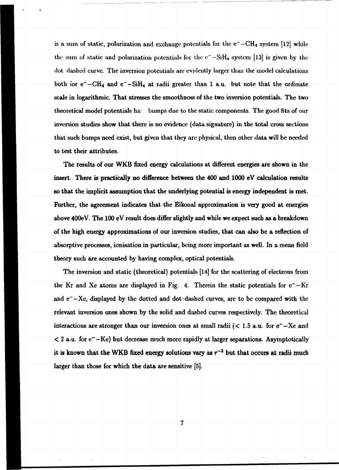is a sum of static, polarization and exchange potentials for the  $e^- - CH_4$  system [12] while the sum of static and polarization potentials for the  $e^-$ -SiH<sub>4</sub> system [13] is given by the **dot dashed curve. The inversion potentials are evidently larger than the model calculations**  both for  $e^-$ -CH<sub>4</sub> and  $e^-$ -SiH<sub>4</sub> at radii greater than 1 a.u. but note that the ordinate **scale in logarithmic. That stresses the smoothness of the two inversion potentials. The two theoretical model potentials ha- bumps due to the static components. The good fits of our inversion studies show that there is no evidence (data signature) in the total cross sections that such bumps need exist, but given that they are physical, then other data will be needed to test their attributes.** 

**The results of our WKB fixed energy calculations at different energies are shown in the insert. There is practically no difference between the 400 and 1000 eV calculation results so that the implicit assumption that the underlying potential is energy independent is met. Further, the agreement indicates that the Eikonal approximation is very good at energies above 400eV. The 100 eV result does differ slightly and while we expect such as a breakdown of the high energy approximations of our inversion studies, that can also be a reflection of absorptive processes, ionisation in particular, being more important as well. In a mean field theory such are accounted by having complex, optical potentials.** 

**The inversion and static (theoretical) potentials [14] for the scattering of electrons from**  the Kr and Xe atoms are displayed in Fig. 4. Therein the static potentials for  $e^- - Kr$ and  $e^- - Xe$ , displayed by the dotted and dot-dashed curves, are to be compared with the **relevant inversion ones shown by the solid and dashed curves respectively. The theoretical**  interactions are stronger than our inversion ones at small radii  $(< 1.5$  a.u. for  $e^- - Xe$  and **< 2 a.u. for e~-Ke) but decrease much more rapidly at larger separations. Asymptotically**  it is known that the WKB fixed energy solutions vary as  $r^{-3}$  but that occurs at radii much **larger than those for which the data are sensitive [5].**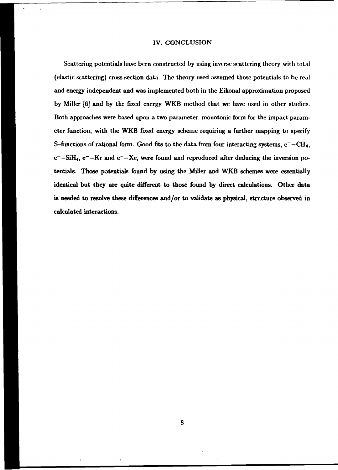#### IV. CONCLUSION

Scattering potentials have been constructed by using inverse scattering theory with total (elastic scattering) cross section data. The theory used assumed those potentials to be real and energy independent and was implemented both in the Eikonal approximation proposed by Miller [6] and by the fixed energy WKB method that we have used in other studies. Both approaches were based upon a two parameter, monotonic form for the impact parameter function, with the WKB fixed energy scheme requiring a further mapping to specify S-functions of rational form. Good fits to the data from four interacting systems,  $e^- - CH_4$ ,  $e^-$ -SiH<sub>4</sub>,  $e^-$ -Kr and  $e^-$ -Xe, were found and reproduced after deducing the inversion potentials. Those potentials found by using the Miller and WKB schemes were essentially identical but they are quite different to those found by direct calculations. Other data is needed to resolve these differences and/or to validate as physical, structure observed in calculated interactions.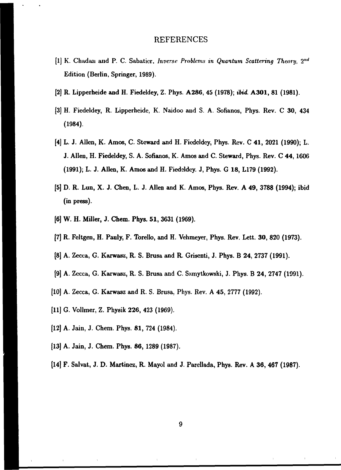## REFERENCES

- [1] K. Chadan and P. C. Sabaticr, *Inverse Problems in Quantum Scattering Theory,* 2'"' Edition (Berlin, Springer, 1989).
- [2] R. Lipperheide and H. Fiedeldey, Z. Phys. A286, 45 (1978); *ibid.* **A301,** 81 (1981).
- [3] H. Fiedeldey, R. Lipperheide, K. Naidoo and S. A. Sofianos, Phys. Rev. C 30, 434 (1984).
- [4] L. J. Allen, K. Amos, C. Steward and H. Fiedcldcy, Phys. Rev. C 41, 2021 (1990); L. J. Allen, H. Fiedeldey, S. A. Sofianos, K. Amos and C. Steward, Phys. Rev. C 44,1606 (1991); L. J. Allen, K. Amos and H. Fiedeldcy. J, Phys. G 18, L179 (1992).
- [5] D. R. Lun, X. J. Chen, L. J. Allen and K. Amos, Phys. Rev. A 49, 3788 (1994); ibid (in press).
- [6] W. H. Miller, J. Chem. Phys. 51, 3631 (1969).
- [7] R. Feltgen, H. Pauly, F. Torello, and H. Vehmeyer, Phys. Rev. Lett. **30,** 820 (1973).
- [8] A. Zecca, G. Karwasz, R. S. Brusa and R. Grisenti, J. Phys. B 24, 2737 (1991).
- [9] A. Zecca, G. Karwasz, R. S. Brusa and C. Szmytkowski, J. Phys. B 24, 2747 (1991).
- [10] A. Zecca, G. Karwasz and R. S. Brusa, Phys. Rev. A 45, 2777 (1992).
- [11] G. Vollmer, Z. Physik 226, 423 (1969).
- [12] A. Jain, J. Chem. Phys. 81, 724 (1984).
- [13] A. Jain, J. Chem. Phys. 86, 1289 (1987).
- [14] F. Salvat, J. D. Martinez, R. Mayol and J. Parellada, Phys. Rev. A 36, 467 (1987).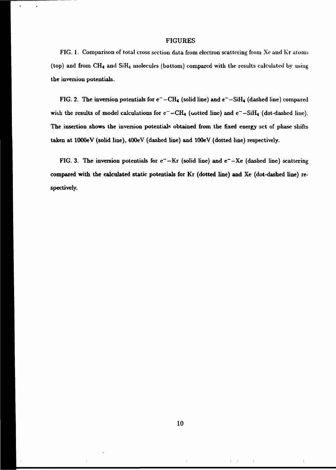#### **FIGURES**

**FIG. 1. Comparison of total cross section data from electron scattering from Xc and Kr atoms (top) and from CH4 and SiH4 molecules (bottom) compared with the results calculated by using the inversion potentials.** 

FIG. 2. The inversion potentials for  $e^- - CH_4$  (solid line) and  $e^- - SiH_4$  (dashed line) compared with the results of model calculations for  $c^- - CH_4$  (wotted line) and  $c^- - SiH_4$  (dot-dashed line). **The insertion shows the inversion potentials obtained from the fixed energy set of phase shifts taken at lOOOeV (solid line), 400eV (dashed line) and lOOeV (dotted line) respectively.** 

FIG. 3. The inversion potentials for  $c^- - Kr$  (solid line) and  $e^- - Xe$  (dashed line) scattering **compared with the calculated static potentials for Kr (dotted line) and Xe (dot-dashed line) respectively.**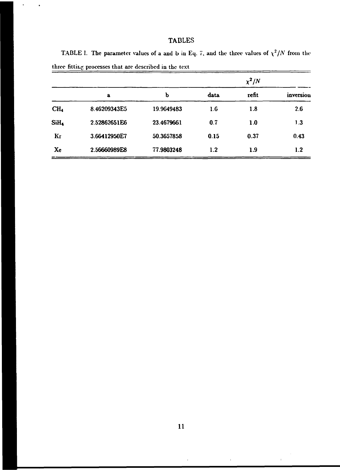# **TABLES**

 $\bullet$ 

 $=$ 

| three fitting processes that are described in the text |              |            |            |       |           |
|--------------------------------------------------------|--------------|------------|------------|-------|-----------|
|                                                        |              |            | $\chi^2/N$ |       |           |
|                                                        | a            | ь          | data       | refit | inversion |
| CH <sub>4</sub>                                        | 8.46209343E5 | 19.9649483 | 1.6        | 1.8   | 2.6       |
| SiH4                                                   | 2.52862651E6 | 23.4679661 | 0.7        | 1.0   | 1.3       |
| Kг                                                     | 3.66412950E7 | 50.3657858 | 0.15       | 0.37  | 0.43      |

**Xc 2.56660989E8 77.9803248 1.2 1.9 1.2** 

TABLE I. The parameter values of a and b in Eq. 7, and the three values of  $\chi^2/N$  from the

 $\bar{1}$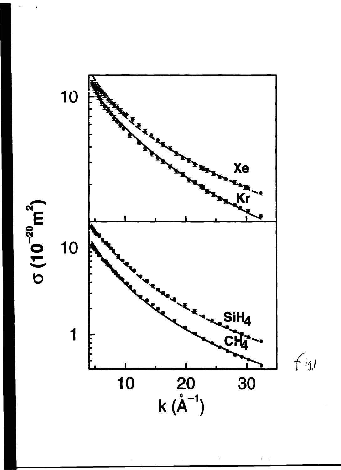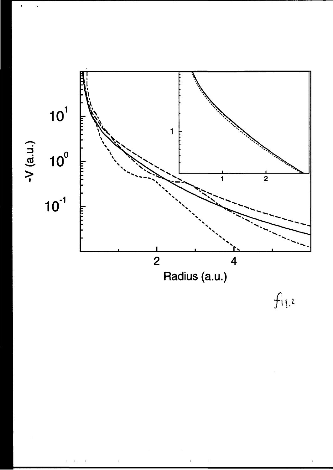

 $\hat{\mathbf{I}}$ 

 $\mathbb{E}$ 

 $f_{i4}$